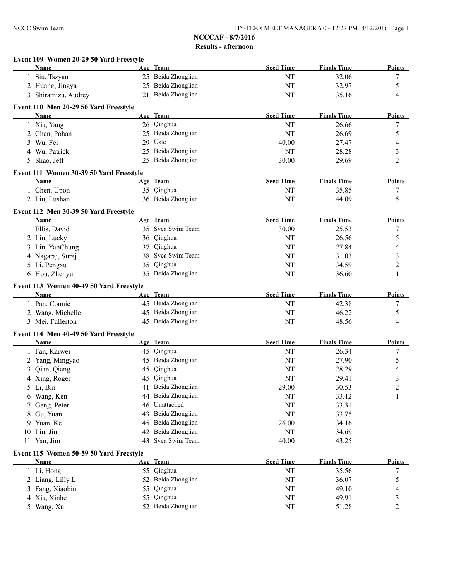|   | Event 109 Women 20-29 50 Yard Freestyle<br>Name        |          |                                      | <b>Seed Time</b> | <b>Finals Time</b> |                         |
|---|--------------------------------------------------------|----------|--------------------------------------|------------------|--------------------|-------------------------|
|   |                                                        |          | Age Team<br>25 Beida Zhonglian       | NT               | 32.06              | Points                  |
|   | 1 Siu, Tszyan                                          |          |                                      |                  |                    | 7                       |
|   | 2 Huang, Jingya                                        |          | 25 Beida Zhonglian                   | NT               | 32.97              | 5                       |
|   | 3 Shiramizu, Audrey                                    |          | 21 Beida Zhonglian                   | NT               | 35.16              | 4                       |
|   | Event 110 Men 20-29 50 Yard Freestyle                  |          |                                      |                  |                    |                         |
|   | <b>Name</b>                                            |          | Age Team                             | <b>Seed Time</b> | <b>Finals Time</b> | <b>Points</b>           |
|   | 1 Xia, Yang                                            |          | 26 Qinghua                           | NT               | 26.66              | 7                       |
|   | 2 Chen, Pohan                                          |          | 25 Beida Zhonglian                   | NT               | 26.69              | 5                       |
|   | 3 Wu, Fei                                              |          | 29 Uste                              | 40.00            | 27.47              | 4                       |
|   | 4 Wu, Patrick                                          |          | 25 Beida Zhonglian                   | NT               | 28.28              | 3                       |
|   | 5 Shao, Jeff                                           |          | 25 Beida Zhonglian                   | 30.00            | 29.69              | $\overline{2}$          |
|   | Event 111 Women 30-39 50 Yard Freestyle                |          |                                      |                  |                    |                         |
|   | Name                                                   |          | Age Team                             | <b>Seed Time</b> | <b>Finals Time</b> | Points                  |
|   | 1 Chen, Upon                                           |          | 35 Qinghua                           | NT               | 35.85              | $\boldsymbol{7}$        |
|   | 2 Liu, Lushan                                          |          | 36 Beida Zhonglian                   | NT               | 44.09              | 5                       |
|   | Event 112 Men 30-39 50 Yard Freestyle                  |          |                                      |                  |                    |                         |
|   | Name                                                   |          | Age Team                             | <b>Seed Time</b> | <b>Finals Time</b> | <b>Points</b>           |
|   | 1 Ellis, David                                         |          | 35 Svca Swim Team                    | 30.00            | 25.53              | 7                       |
|   | 2 Lin, Lucky                                           |          | 36 Qinghua                           | NT               | 26.56              | 5                       |
|   | 3 Lin, YaoChung                                        |          | 37 Qinghua                           | NT               | 27.84              | 4                       |
|   | 4 Nagaraj, Suraj                                       |          | 38 Svca Swim Team                    | NT               | 31.03              | 3                       |
|   | 5 Li, Pengxu                                           |          | 35 Qinghua                           | NT               | 34.59              | $\overline{2}$          |
|   | 6 Hou, Zhenyu                                          |          | 35 Beida Zhonglian                   | NT               | 36.60              | 1                       |
|   | Event 113 Women 40-49 50 Yard Freestyle                |          |                                      |                  |                    |                         |
|   | Name                                                   |          | Age Team                             | <b>Seed Time</b> | <b>Finals Time</b> | <b>Points</b>           |
|   | 1 Pan, Connie                                          |          | 45 Beida Zhonglian                   | NT               | 42.38              | $\tau$                  |
|   | 2 Wang, Michelle                                       |          | 45 Beida Zhonglian                   | NT               | 46.22              | 5                       |
|   | 3 Mei, Fullerton                                       |          | 45 Beida Zhonglian                   | NT               | 48.56              | 4                       |
|   | Event 114 Men 40-49 50 Yard Freestyle                  |          |                                      |                  |                    |                         |
|   | Name                                                   |          | Age Team                             | <b>Seed Time</b> | <b>Finals Time</b> | <b>Points</b>           |
|   | 1 Fan, Kaiwei                                          |          | 45 Qinghua                           | NT               | 26.34              | 7                       |
|   | 2 Yang, Mingyao                                        |          | 45 Beida Zhonglian                   | NT               | 27.90              | 5                       |
|   | 3 Qian, Qiang                                          |          | 45 Qinghua                           | NT               | 28.29              | 4                       |
|   |                                                        |          | 45 Qinghua                           |                  |                    |                         |
|   | 4 Xing, Roger                                          |          |                                      | NT               | 29.41              | $\overline{\mathbf{3}}$ |
|   | 5 Li, Bin                                              |          | 41 Beida Zhonglian                   | 29.00            | 30.53              | $\overline{c}$          |
|   | 6 Wang, Ken                                            | 44       | Beida Zhonglian                      | NT               | 33.12              | 1                       |
| 7 |                                                        | 46       | Unattached                           | NT               | 33.31              |                         |
| 8 | Geng, Peter                                            | 43       | Beida Zhonglian                      | NT               | 33.75              |                         |
|   | Gu, Yuan                                               |          |                                      |                  |                    |                         |
| 9 | Yuan, Ke                                               | 42       | 45 Beida Zhonglian                   | 26.00            | 34.16              |                         |
|   | 10 Liu, Jin                                            |          | Beida Zhonglian<br>43 Svca Swim Team | NT               | 34.69              |                         |
|   | 11 Yan, Jim                                            |          |                                      | 40.00            | 43.25              |                         |
|   | Event 115 Women 50-59 50 Yard Freestyle<br><b>Name</b> |          | Age Team                             | <b>Seed Time</b> | <b>Finals Time</b> |                         |
|   |                                                        |          | 55 Qinghua                           | NT               | 35.56              |                         |
|   | 1 Li, Hong                                             |          | 52 Beida Zhonglian                   |                  |                    | 7                       |
|   | 2 Liang, Lilly L                                       |          |                                      | NT               | 36.07              | <b>Points</b><br>5      |
| 4 | 3 Fang, Xiaobin<br>Xia, Xinhe                          | 55<br>55 | Qinghua<br>Qinghua                   | NT<br>NT         | 49.10<br>49.91     | 4<br>3                  |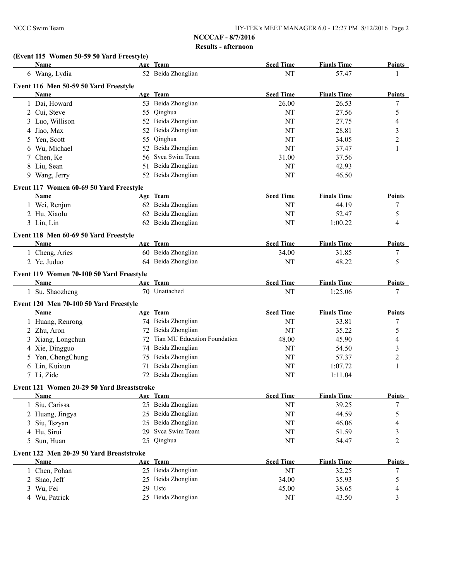## **(Event 115 Women 50-59 50 Yard Freestyle)**

| Name                                          |    | Age Team                     | <b>Seed Time</b> | <b>Finals Time</b> | <b>Points</b>           |
|-----------------------------------------------|----|------------------------------|------------------|--------------------|-------------------------|
| 6 Wang, Lydia                                 |    | 52 Beida Zhonglian           | NT               | 57.47              |                         |
| Event 116 Men 50-59 50 Yard Freestyle         |    |                              |                  |                    |                         |
| Name                                          |    | Age Team                     | <b>Seed Time</b> | <b>Finals Time</b> | <b>Points</b>           |
| 1 Dai, Howard                                 |    | 53 Beida Zhonglian           | 26.00            | 26.53              | 7                       |
| 2 Cui, Steve                                  | 55 | Qinghua                      | NT               | 27.56              | 5                       |
| Luo, Willison<br>3                            |    | 52 Beida Zhonglian           | <b>NT</b>        | 27.75              | 4                       |
| 4 Jiao, Max                                   | 52 | Beida Zhonglian              | <b>NT</b>        | 28.81              | 3                       |
| Yen, Scott<br>5                               | 55 | Qinghua                      | NT               | 34.05              | $\overline{\mathbf{c}}$ |
| Wu, Michael<br>6                              | 52 | Beida Zhonglian              | NT               | 37.47              | 1                       |
| Chen, Ke<br>7                                 | 56 | Svca Swim Team               | 31.00            | 37.56              |                         |
| Liu, Sean<br>8                                | 51 | Beida Zhonglian              | <b>NT</b>        | 42.93              |                         |
| 9 Wang, Jerry                                 | 52 | Beida Zhonglian              | NT               | 46.50              |                         |
| Event 117 Women 60-69 50 Yard Freestyle       |    |                              |                  |                    |                         |
| Name                                          |    | Age Team                     | <b>Seed Time</b> | <b>Finals Time</b> | <b>Points</b>           |
| 1 Wei, Renjun                                 |    | 62 Beida Zhonglian           | NT               | 44.19              | 7                       |
| 2 Hu, Xiaolu                                  |    | 62 Beida Zhonglian           | <b>NT</b>        | 52.47              | 5                       |
| 3 Lin, Lin                                    |    | 62 Beida Zhonglian           | <b>NT</b>        | 1:00.22            | 4                       |
|                                               |    |                              |                  |                    |                         |
| Event 118 Men 60-69 50 Yard Freestyle<br>Name |    | Age Team                     | <b>Seed Time</b> | <b>Finals Time</b> | Points                  |
| 1 Cheng, Aries                                |    | 60 Beida Zhonglian           | 34.00            | 31.85              |                         |
| 2 Ye, Juduo                                   |    | 64 Beida Zhonglian           | <b>NT</b>        | 48.22              | 7<br>5                  |
|                                               |    |                              |                  |                    |                         |
| Event 119 Women 70-100 50 Yard Freestyle      |    |                              |                  |                    |                         |
| <b>Name</b>                                   |    | Age Team                     | <b>Seed Time</b> | <b>Finals Time</b> | <b>Points</b>           |
| 1 Su, Shaozheng                               |    | 70 Unattached                | NT               | 1:25.06            | 7                       |
| Event 120 Men 70-100 50 Yard Freestyle        |    |                              |                  |                    |                         |
| Name                                          |    | Age Team                     | <b>Seed Time</b> | <b>Finals Time</b> | <b>Points</b>           |
| 1 Huang, Renrong                              |    | 74 Beida Zhonglian           | NT               | 33.81              | 7                       |
| 2 Zhu, Aron                                   |    | 72 Beida Zhonglian           | NT               | 35.22              | 5                       |
| 3 Xiang, Longchun                             | 72 | Tian MU Education Foundation | 48.00            | 45.90              | 4                       |
| 4 Xie, Dingguo                                | 74 | Beida Zhonglian              | <b>NT</b>        | 54.50              | 3                       |
| 5 Yen, ChengChung                             | 75 | Beida Zhonglian              | <b>NT</b>        | 57.37              | $\overline{c}$          |
| 6 Lin, Kuixun                                 | 71 | Beida Zhonglian              | <b>NT</b>        | 1:07.72            | 1                       |
| 7 Li, Zide                                    | 72 | Beida Zhonglian              | <b>NT</b>        | 1:11.04            |                         |
| Event 121 Women 20-29 50 Yard Breaststroke    |    |                              |                  |                    |                         |
| <b>Name</b>                                   |    | Age Team                     | <b>Seed Time</b> | <b>Finals Time</b> | <b>Points</b>           |
| 1 Siu, Carissa                                | 25 | Beida Zhonglian              | NT               | 39.25              | 7                       |
| 2 Huang, Jingya                               | 25 | Beida Zhonglian              | NT               | 44.59              | 5                       |
| Siu, Tszyan<br>3                              | 25 | Beida Zhonglian              | NT               | 46.06              | 4                       |
| 4 Hu, Sirui                                   | 29 | Svca Swim Team               | NT               | 51.59              | 3                       |
| Sun, Huan<br>5                                | 25 | Qinghua                      | NT               | 54.47              | 2                       |
|                                               |    |                              |                  |                    |                         |
| Event 122 Men 20-29 50 Yard Breaststroke      |    |                              |                  |                    |                         |
| <b>Name</b>                                   |    | Age Team                     | <b>Seed Time</b> | <b>Finals Time</b> | <b>Points</b>           |
| 1 Chen, Pohan                                 |    | 25 Beida Zhonglian           | NT               | 32.25              | 7                       |
| 2 Shao, Jeff                                  | 25 | Beida Zhonglian              | 34.00            | 35.93              | 5                       |
| 3 Wu, Fei                                     |    | 29 Ustc                      | 45.00            | 38.65              | 4                       |
| 4 Wu, Patrick                                 |    | 25 Beida Zhonglian           | NT               | 43.50              | 3                       |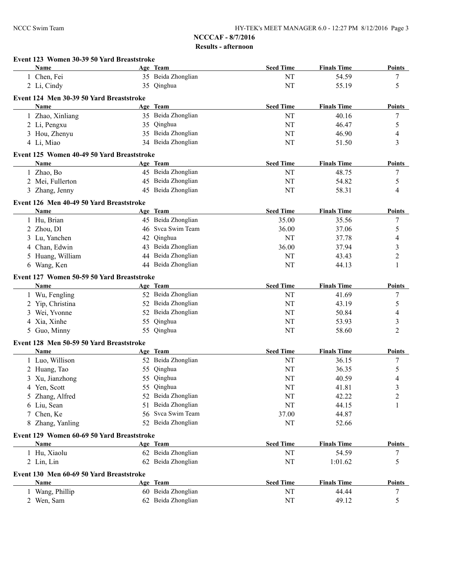|   | Event 123 Women 30-39 50 Yard Breaststroke<br>Name |    | Age Team                                 | <b>Seed Time</b> | <b>Finals Time</b> | <b>Points</b>           |
|---|----------------------------------------------------|----|------------------------------------------|------------------|--------------------|-------------------------|
|   | 1 Chen, Fei                                        |    | 35 Beida Zhonglian                       | NT               | 54.59              | 7                       |
|   | 2 Li, Cindy                                        |    | 35 Qinghua                               | NT               | 55.19              | 5                       |
|   |                                                    |    |                                          |                  |                    |                         |
|   | Event 124 Men 30-39 50 Yard Breaststroke           |    |                                          |                  |                    |                         |
|   | <b>Name</b>                                        |    | Age Team                                 | <b>Seed Time</b> | <b>Finals Time</b> | <b>Points</b>           |
|   | 1 Zhao, Xinliang                                   |    | 35 Beida Zhonglian                       | NT               | 40.16              | 7                       |
|   | 2 Li, Pengxu                                       |    | 35 Qinghua                               | NT               | 46.47              | 5                       |
|   | 3 Hou, Zhenyu                                      |    | 35 Beida Zhonglian                       | NT               | 46.90              | 4                       |
|   | 4 Li, Miao                                         |    | 34 Beida Zhonglian                       | NT               | 51.50              | 3                       |
|   | Event 125 Women 40-49 50 Yard Breaststroke         |    |                                          |                  |                    |                         |
|   | <b>Name</b>                                        |    | Age Team                                 | <b>Seed Time</b> | <b>Finals Time</b> | <b>Points</b>           |
|   | 1 Zhao, Bo                                         |    | 45 Beida Zhonglian                       | NT               | 48.75              | 7                       |
|   | 2 Mei, Fullerton                                   |    | 45 Beida Zhonglian                       | NT               | 54.82              | 5                       |
|   | 3 Zhang, Jenny                                     |    | 45 Beida Zhonglian                       | NT               | 58.31              | 4                       |
|   | Event 126 Men 40-49 50 Yard Breaststroke           |    |                                          |                  |                    |                         |
|   | Name                                               |    | Age Team                                 | <b>Seed Time</b> | <b>Finals Time</b> | <b>Points</b>           |
|   | 1 Hu, Brian                                        |    | 45 Beida Zhonglian                       | 35.00            | 35.56              | 7                       |
|   | 2 Zhou, DI                                         |    | 46 Svca Swim Team                        | 36.00            | 37.06              | 5                       |
| 3 | Lu, Yanchen                                        |    | 42 Qinghua                               | NT               | 37.78              | 4                       |
| 4 | Chan, Edwin                                        |    | 43 Beida Zhonglian                       | 36.00            | 37.94              | 3                       |
|   | Huang, William                                     |    | 44 Beida Zhonglian                       | NT               | 43.43              | 2                       |
|   | 6 Wang, Ken                                        |    | 44 Beida Zhonglian                       | NT               | 44.13              | 1                       |
|   |                                                    |    |                                          |                  |                    |                         |
|   | Event 127 Women 50-59 50 Yard Breaststroke         |    |                                          |                  |                    |                         |
|   | <b>Name</b>                                        |    | Age Team                                 | <b>Seed Time</b> | <b>Finals Time</b> | <b>Points</b>           |
|   | 1 Wu, Fengling                                     |    | 52 Beida Zhonglian                       | NT               | 41.69              | 7                       |
|   | Yip, Christina                                     |    | 52 Beida Zhonglian                       | NT               | 43.19              | 5                       |
| 3 | Wei, Yvonne                                        |    | 52 Beida Zhonglian                       | NT               | 50.84              | 4                       |
|   | Xia, Xinhe                                         |    | 55 Qinghua                               | NT               | 53.93              | 3                       |
|   | 5 Guo, Minny                                       |    | 55 Qinghua                               | NT               | 58.60              | $\overline{2}$          |
|   | Event 128 Men 50-59 50 Yard Breaststroke           |    |                                          |                  |                    |                         |
|   | Name                                               |    | Age Team                                 | <b>Seed Time</b> | <b>Finals Time</b> | <b>Points</b>           |
|   | 1 Luo, Willison                                    |    | 52 Beida Zhonglian                       | NT               | 36.15              | 7                       |
|   | 2 Huang, Tao                                       |    | 55 Qinghua                               | NT               | 36.35              | 5                       |
| 3 | Xu, Jianzhong                                      |    | 55 Qinghua                               | NT               | 40.59              | 4                       |
|   | 4 Yen, Scott                                       |    | 55 Qinghua                               | NT               | 41.81              | 3                       |
|   | Zhang, Alfred                                      |    | 52 Beida Zhonglian                       | NT               | 42.22              | $\overline{c}$          |
| 6 | Liu, Sean                                          | 51 | Beida Zhonglian                          | NT               | 44.15              | 1                       |
|   | Chen, Ke                                           |    | 56 Svca Swim Team                        | 37.00            | 44.87              |                         |
|   | 8 Zhang, Yanling                                   |    | 52 Beida Zhonglian                       | NT               | 52.66              |                         |
|   | Event 129 Women 60-69 50 Yard Breaststroke         |    |                                          |                  |                    |                         |
|   | Name                                               |    | Age Team                                 | <b>Seed Time</b> | <b>Finals Time</b> | <b>Points</b>           |
|   | 1 Hu, Xiaolu                                       |    | 62 Beida Zhonglian                       | NT               | 54.59              | 7                       |
|   | 2 Lin, Lin                                         |    | 62 Beida Zhonglian                       | NT               | 1:01.62            | 5                       |
|   | Event 130 Men 60-69 50 Yard Breaststroke           |    |                                          |                  |                    |                         |
|   |                                                    |    |                                          |                  |                    |                         |
|   |                                                    |    |                                          |                  |                    |                         |
|   | Name                                               |    | Age Team                                 | <b>Seed Time</b> | <b>Finals Time</b> |                         |
|   | 1 Wang, Phillip<br>2 Wen, Sam                      |    | 60 Beida Zhonglian<br>62 Beida Zhonglian | NT<br>NT         | 44.44<br>49.12     | <b>Points</b><br>7<br>5 |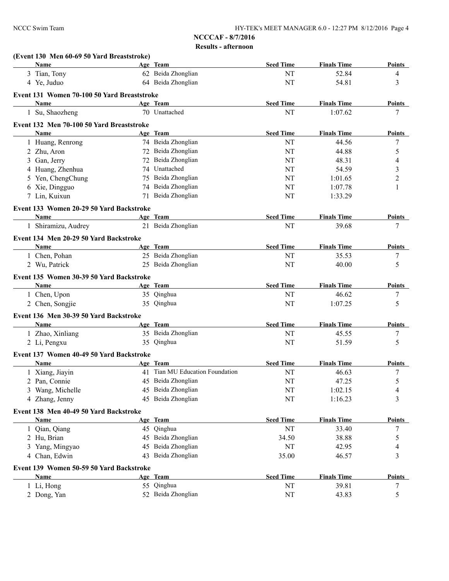|   | (Event 130 Men 60-69 50 Yard Breaststroke)            |    |                                 |                  |                    |               |
|---|-------------------------------------------------------|----|---------------------------------|------------------|--------------------|---------------|
|   | Name                                                  |    | Age Team                        | <b>Seed Time</b> | <b>Finals Time</b> | Points        |
|   | 3 Tian, Tony                                          |    | 62 Beida Zhonglian              | NT               | 52.84              | 4             |
|   | 4 Ye, Juduo                                           |    | 64 Beida Zhonglian              | NT               | 54.81              | 3             |
|   | Event 131 Women 70-100 50 Yard Breaststroke           |    |                                 |                  |                    |               |
|   | <b>Name</b>                                           |    | Age Team                        | <b>Seed Time</b> | <b>Finals Time</b> | <b>Points</b> |
|   | 1 Su, Shaozheng                                       |    | 70 Unattached                   | NT               | 1:07.62            | 7             |
|   | Event 132 Men 70-100 50 Yard Breaststroke             |    |                                 |                  |                    |               |
|   | <b>Name</b>                                           |    | Age Team                        | <b>Seed Time</b> | <b>Finals Time</b> | Points        |
|   | 1 Huang, Renrong                                      |    | 74 Beida Zhonglian              | NT               | 44.56              | 7             |
|   | 2 Zhu, Aron                                           |    | 72 Beida Zhonglian              | NT               | 44.88              | 5             |
| 3 | Gan, Jerry                                            |    | 72 Beida Zhonglian              | NT               | 48.31              | 4             |
|   | 4 Huang, Zhenhua                                      |    | 74 Unattached                   | NT               | 54.59              | 3             |
|   | 5 Yen, ChengChung                                     |    | 75 Beida Zhonglian              | NT               | 1:01.65            | 2             |
|   | 6 Xie, Dingguo                                        |    | 74 Beida Zhonglian              | NT               | 1:07.78            | 1             |
|   | 7 Lin, Kuixun                                         |    | 71 Beida Zhonglian              | NT               | 1:33.29            |               |
|   | Event 133 Women 20-29 50 Yard Backstroke              |    |                                 |                  |                    |               |
|   | Name                                                  |    | Age Team                        | <b>Seed Time</b> | <b>Finals Time</b> | Points        |
|   | 1 Shiramizu, Audrey                                   |    | 21 Beida Zhonglian              | NT               | 39.68              | 7             |
|   | Event 134 Men 20-29 50 Yard Backstroke                |    |                                 |                  |                    |               |
|   | <b>Name</b>                                           |    | Age Team                        | <b>Seed Time</b> | <b>Finals Time</b> | Points        |
|   | 1 Chen, Pohan                                         |    | 25 Beida Zhonglian              | NT               | 35.53              | 7             |
|   | 2 Wu, Patrick                                         |    | 25 Beida Zhonglian              | NT               | 40.00              | 5             |
|   |                                                       |    |                                 |                  |                    |               |
|   | Event 135 Women 30-39 50 Yard Backstroke              |    |                                 |                  |                    |               |
|   | Name                                                  |    | Age Team                        | <b>Seed Time</b> | <b>Finals Time</b> | <b>Points</b> |
|   | 1 Chen, Upon                                          |    | 35 Qinghua                      | NT               | 46.62              | 7             |
|   | 2 Chen, Songjie                                       |    | 35 Qinghua                      | NT               | 1:07.25            | 5             |
|   | Event 136 Men 30-39 50 Yard Backstroke                |    |                                 |                  |                    |               |
|   | Name                                                  |    | Age Team                        | <b>Seed Time</b> | <b>Finals Time</b> | <b>Points</b> |
|   | 1 Zhao, Xinliang                                      |    | 35 Beida Zhonglian              | NT               | 45.55              | 7             |
|   | 2 Li, Pengxu                                          |    | 35 Qinghua                      | NT               | 51.59              | 5             |
|   | Event 137 Women 40-49 50 Yard Backstroke              |    |                                 |                  |                    |               |
|   | <b>Name</b>                                           |    | Age Team                        | <b>Seed Time</b> | <b>Finals Time</b> | <b>Points</b> |
|   | 1 Xiang, Jiayin                                       |    | 41 Tian MU Education Foundation | NT               | 46.63              | 7             |
|   | 2 Pan, Connie                                         |    | 45 Beida Zhonglian              | NT               | 47.25              | 5             |
|   | Wang, Michelle                                        |    | 45 Beida Zhonglian              | NT               | 1:02.15            | 4             |
|   | 4 Zhang, Jenny                                        |    | 45 Beida Zhonglian              | $\rm{NT}$        | 1:16.23            | 3             |
|   |                                                       |    |                                 |                  |                    |               |
|   | Event 138 Men 40-49 50 Yard Backstroke<br><b>Name</b> |    | Age Team                        | <b>Seed Time</b> | <b>Finals Time</b> | <b>Points</b> |
|   | 1 Qian, Qiang                                         |    | 45 Qinghua                      | NT               | 33.40              | 7             |
|   |                                                       |    | 45 Beida Zhonglian              | 34.50            |                    |               |
|   | 2 Hu, Brian                                           | 45 | Beida Zhonglian                 |                  | 38.88              | 5             |
|   | 3 Yang, Mingyao                                       | 43 | Beida Zhonglian                 | $\rm{NT}$        | 42.95              | 4             |
|   | 4 Chan, Edwin                                         |    |                                 | 35.00            | 46.57              | 3             |
|   | Event 139 Women 50-59 50 Yard Backstroke              |    |                                 |                  |                    |               |
|   | Name                                                  |    | Age Team                        | <b>Seed Time</b> | <b>Finals Time</b> | <b>Points</b> |
|   | 1 Li, Hong                                            |    | 55 Qinghua                      | $\rm{NT}$        | 39.81              | 7             |
|   | 2 Dong, Yan                                           |    | 52 Beida Zhonglian              | $\rm{NT}$        | 43.83              | 5             |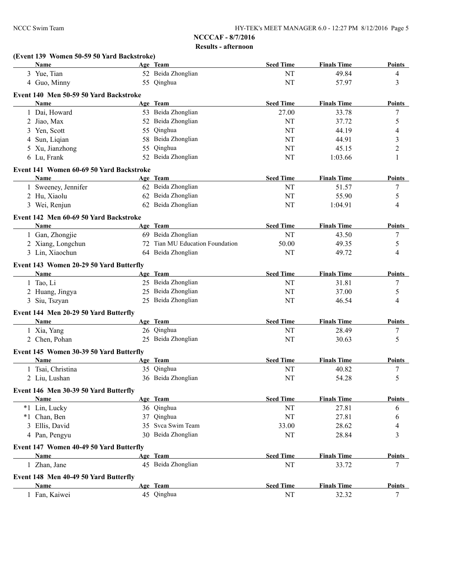|   | Name                                     |    | Age Team                        | <b>Seed Time</b> | <b>Finals Time</b> | <b>Points</b>    |
|---|------------------------------------------|----|---------------------------------|------------------|--------------------|------------------|
|   | 3 Yue, Tian                              |    | 52 Beida Zhonglian              | NT               | 49.84              | 4                |
|   | 4 Guo, Minny                             |    | 55 Qinghua                      | NT               | 57.97              | 3                |
|   | Event 140 Men 50-59 50 Yard Backstroke   |    |                                 |                  |                    |                  |
|   | <b>Name</b>                              |    | Age Team                        | <b>Seed Time</b> | <b>Finals Time</b> | <b>Points</b>    |
|   | 1 Dai, Howard                            |    | 53 Beida Zhonglian              | 27.00            | 33.78              | $\boldsymbol{7}$ |
|   |                                          |    | 52 Beida Zhonglian              | NT               | 37.72              |                  |
|   | 2 Jiao, Max<br>3 Yen, Scott              |    | 55 Qinghua                      | NT               | 44.19              | 5                |
|   |                                          |    | Beida Zhonglian                 |                  |                    | 4                |
| 4 | Sun, Liqian                              | 58 |                                 | NT               | 44.91              | 3                |
|   | 5 Xu, Jianzhong                          | 55 | Qinghua<br>52 Beida Zhonglian   | NT               | 45.15              | $\overline{2}$   |
|   | 6 Lu, Frank                              |    |                                 | NT               | 1:03.66            | 1                |
|   | Event 141 Women 60-69 50 Yard Backstroke |    |                                 |                  |                    |                  |
|   | Name                                     |    | Age Team                        | <b>Seed Time</b> | <b>Finals Time</b> | <b>Points</b>    |
|   | 1 Sweeney, Jennifer                      |    | 62 Beida Zhonglian              | NT               | 51.57              | 7                |
|   | 2 Hu, Xiaolu                             |    | 62 Beida Zhonglian              | NT               | 55.90              | 5                |
|   | 3 Wei, Renjun                            |    | 62 Beida Zhonglian              | NT               | 1:04.91            | 4                |
|   | Event 142 Men 60-69 50 Yard Backstroke   |    |                                 |                  |                    |                  |
|   | <b>Name</b>                              |    | Age Team                        | <b>Seed Time</b> | <b>Finals Time</b> | Points           |
|   | 1 Gan, Zhongjie                          |    | 69 Beida Zhonglian              | NT               | 43.50              | 7                |
|   | 2 Xiang, Longchun                        |    | 72 Tian MU Education Foundation | 50.00            | 49.35              | 5                |
|   | 3 Lin, Xiaochun                          |    | 64 Beida Zhonglian              | NT               | 49.72              | 4                |
|   |                                          |    |                                 |                  |                    |                  |
|   | Event 143 Women 20-29 50 Yard Butterfly  |    |                                 |                  |                    |                  |
|   | Name                                     |    | Age Team                        | <b>Seed Time</b> | <b>Finals Time</b> | <b>Points</b>    |
|   | 1 Tao, Li                                |    | 25 Beida Zhonglian              | NT               | 31.81              | 7                |
|   | 2 Huang, Jingya                          |    | 25 Beida Zhonglian              | NT               | 37.00              | 5                |
|   | 3 Siu, Tszyan                            |    | 25 Beida Zhonglian              | NT               | 46.54              | 4                |
|   | Event 144 Men 20-29 50 Yard Butterfly    |    |                                 |                  |                    |                  |
|   | Name                                     |    | Age Team                        | <b>Seed Time</b> | <b>Finals Time</b> | Points           |
|   | 1 Xia, Yang                              |    | 26 Qinghua                      | NT               | 28.49              | 7                |
|   | 2 Chen, Pohan                            |    | 25 Beida Zhonglian              | NT               | 30.63              | 5                |
|   |                                          |    |                                 |                  |                    |                  |
|   | Event 145 Women 30-39 50 Yard Butterfly  |    |                                 |                  |                    |                  |
|   | Name                                     |    | Age Team                        | <b>Seed Time</b> | <b>Finals Time</b> | <b>Points</b>    |
|   | 1 Tsai, Christina                        |    | 35 Qinghua                      | NT               | 40.82              | 7                |
|   | 2 Liu, Lushan                            |    | 36 Beida Zhonglian              | NT               | 54.28              | 5                |
|   | Event 146 Men 30-39 50 Yard Butterfly    |    |                                 |                  |                    |                  |
|   | <b>Name</b>                              |    | Age Team                        | <b>Seed Time</b> | <b>Finals Time</b> | <b>Points</b>    |
|   | *1 Lin, Lucky                            |    | 36 Qinghua                      | NT               | 27.81              | 6                |
|   | *1 Chan, Ben                             |    | 37 Qinghua                      | NT               | 27.81              | 6                |
|   | 3 Ellis, David                           |    | 35 Svca Swim Team               | 33.00            | 28.62              | 4                |
|   | 4 Pan, Pengyu                            |    | 30 Beida Zhonglian              | NT               | 28.84              | 3                |
|   | Event 147 Women 40-49 50 Yard Butterfly  |    |                                 |                  |                    |                  |
|   | Name                                     |    | Age Team                        | <b>Seed Time</b> | <b>Finals Time</b> | Points           |
|   | 1 Zhan, Jane                             |    | 45 Beida Zhonglian              | NT               | 33.72              | 7                |
|   |                                          |    |                                 |                  |                    |                  |
|   | Event 148 Men 40-49 50 Yard Butterfly    |    |                                 |                  |                    |                  |
|   | Name                                     |    | Age Team                        | <b>Seed Time</b> | <b>Finals Time</b> | <b>Points</b>    |
|   | 1 Fan, Kaiwei                            |    | 45 Qinghua                      | $\rm{NT}$        | 32.32              | 7                |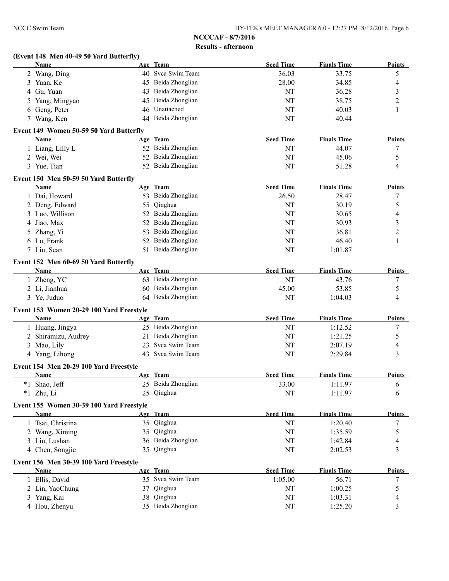|   | (Event 148 Men 40-49 50 Yard Butterfly)<br>Name |    | Age Team           | <b>Seed Time</b> | <b>Finals Time</b> | Points           |
|---|-------------------------------------------------|----|--------------------|------------------|--------------------|------------------|
|   | 2 Wang, Ding                                    |    | 40 Svca Swim Team  | 36.03            | 33.75              | 5                |
|   | 3 Yuan, Ke                                      |    | 45 Beida Zhonglian | 28.00            | 34.85              | 4                |
|   | 4 Gu, Yuan                                      |    | 43 Beida Zhonglian | NT               | 36.28              | 3                |
| 5 | Yang, Mingyao                                   |    | 45 Beida Zhonglian | NT               | 38.75              | 2                |
|   | 6 Geng, Peter                                   |    | 46 Unattached      | NT               | 40.03              | 1                |
|   | 7 Wang, Ken                                     |    | 44 Beida Zhonglian | NT               | 40.44              |                  |
|   | Event 149 Women 50-59 50 Yard Butterfly         |    |                    |                  |                    |                  |
|   | Name                                            |    | Age Team           | <b>Seed Time</b> | <b>Finals Time</b> | <b>Points</b>    |
|   | 1 Liang, Lilly L                                |    | 52 Beida Zhonglian | NT               | 44.07              | 7                |
|   | 2 Wei, Wei                                      |    | 52 Beida Zhonglian | NT               | 45.06              | 5                |
|   | 3 Yue, Tian                                     |    | 52 Beida Zhonglian | NT               | 51.28              | 4                |
|   | Event 150 Men 50-59 50 Yard Butterfly           |    |                    |                  |                    |                  |
|   | Name                                            |    | Age Team           | <b>Seed Time</b> | <b>Finals Time</b> | <b>Points</b>    |
|   | 1 Dai, Howard                                   |    | 53 Beida Zhonglian | 26.50            | 28.47              | $\boldsymbol{7}$ |
|   | 2 Deng, Edward                                  |    | 55 Qinghua         | NT               | 30.19              | 5                |
| 3 | Luo, Willison                                   |    | 52 Beida Zhonglian | NT               | 30.65              | 4                |
| 4 | Jiao, Max                                       | 52 | Beida Zhonglian    | NT               | 30.93              | 3                |
| 5 | Zhang, Yi                                       | 53 | Beida Zhonglian    | NT               | 36.81              | 2                |
|   | 6 Lu, Frank                                     | 52 | Beida Zhonglian    | NT               | 46.40              | 1                |
|   | 7 Liu, Sean                                     |    | 51 Beida Zhonglian | NT               | 1:01.87            |                  |
|   | Event 152 Men 60-69 50 Yard Butterfly           |    |                    |                  |                    |                  |
|   | <b>Name</b>                                     |    | Age Team           | <b>Seed Time</b> | <b>Finals Time</b> | <b>Points</b>    |
|   | 1 Zheng, YC                                     |    | 63 Beida Zhonglian | NT               | 43.76              | 7                |
|   | 2 Li, Jianhua                                   |    | 60 Beida Zhonglian | 45.00            | 53.85              | 5                |
|   | 3 Ye, Juduo                                     |    | 64 Beida Zhonglian | NT               | 1:04.03            | 4                |
|   | Event 153 Women 20-29 100 Yard Freestyle        |    |                    |                  |                    |                  |
|   | Name                                            |    | Age Team           | <b>Seed Time</b> | <b>Finals Time</b> | <b>Points</b>    |
|   | 1 Huang, Jingya                                 |    | 25 Beida Zhonglian | NT               | 1:12.52            | 7                |
|   | 2 Shiramizu, Audrey                             |    | 21 Beida Zhonglian | NT               | 1:21.25            | 5                |
|   | 3 Mao, Lily                                     |    | 23 Svca Swim Team  | NT               | 2:07.19            | 4                |
|   | 4 Yang, Lihong                                  |    | 43 Svca Swim Team  | NT               | 2:29.84            | 3                |
|   | Event 154 Men 20-29 100 Yard Freestyle          |    |                    |                  |                    |                  |
|   | Name                                            |    | Age Team           | <b>Seed Time</b> | <b>Finals Time</b> | Points           |
|   | *1 Shao, Jeff                                   |    | 25 Beida Zhonglian | 33.00            | 1:11.97            | 6                |
|   | *1 Zhu, Li                                      |    | 25 Qinghua         | NT               | 1:11.97            | 6                |
|   | Event 155 Women 30-39 100 Yard Freestyle        |    |                    |                  |                    |                  |
|   | Name                                            |    | Age Team           | <b>Seed Time</b> | <b>Finals Time</b> | <b>Points</b>    |
|   | 1 Tsai, Christina                               |    | 35 Qinghua         | NT               | 1:20.40            | 7                |
|   | 2 Wang, Ximing                                  |    | 35 Qinghua         | NT               | 1:35.59            | 5                |
| 3 | Liu, Lushan                                     |    | 36 Beida Zhonglian | NT               | 1:42.84            | 4                |
|   | 4 Chen, Songjie                                 |    | 35 Qinghua         | NT               | 2:02.53            | 3                |
|   | Event 156 Men 30-39 100 Yard Freestyle          |    |                    |                  |                    |                  |
|   | Name                                            |    | Age Team           | <b>Seed Time</b> | <b>Finals Time</b> | <b>Points</b>    |
|   | 1 Ellis, David                                  |    | 35 Svca Swim Team  | 1:05.00          | 56.71              | 7                |
|   | 2 Lin, YaoChung                                 |    | 37 Qinghua         | NT               | 1:00.25            | 5                |
|   | 3 Yang, Kai                                     |    | 38 Qinghua         | NT               | 1:03.31            | 4                |
|   | 4 Hou, Zhenyu                                   |    | 35 Beida Zhonglian | NT               | 1:25.20            | 3                |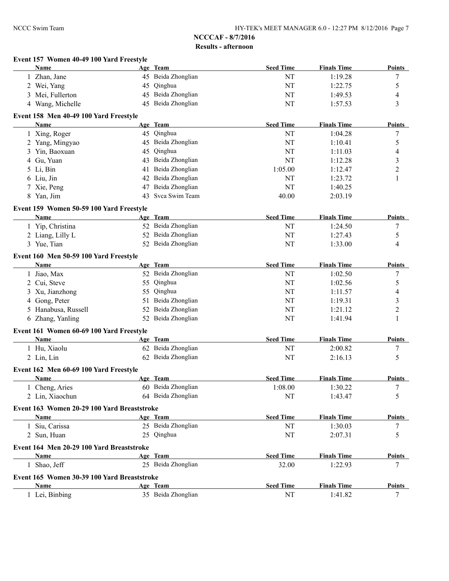|   | Event 157 Women 40-49 100 Yard Freestyle         |    |                    |                  |                    |                          |
|---|--------------------------------------------------|----|--------------------|------------------|--------------------|--------------------------|
|   | <b>Name</b>                                      |    | Age Team           | <b>Seed Time</b> | <b>Finals Time</b> | <b>Points</b>            |
|   | 1 Zhan, Jane                                     |    | 45 Beida Zhonglian | NT               | 1:19.28            | 7                        |
|   | 2 Wei, Yang                                      |    | 45 Qinghua         | NT               | 1:22.75            | 5                        |
| 3 | Mei, Fullerton                                   |    | 45 Beida Zhonglian | NT               | 1:49.53            | 4                        |
|   | 4 Wang, Michelle                                 |    | 45 Beida Zhonglian | NT               | 1:57.53            | 3                        |
|   | Event 158 Men 40-49 100 Yard Freestyle           |    |                    |                  |                    |                          |
|   | Name                                             |    | Age Team           | <b>Seed Time</b> | <b>Finals Time</b> | <b>Points</b>            |
|   | 1 Xing, Roger                                    |    | 45 Qinghua         | NT               | 1:04.28            | 7                        |
|   | 2 Yang, Mingyao                                  |    | 45 Beida Zhonglian | NT               | 1:10.41            | 5                        |
| 3 | Yin, Baoxuan                                     |    | 45 Qinghua         | NT               | 1:11.03            | $\overline{\mathcal{A}}$ |
| 4 | Gu, Yuan                                         |    | 43 Beida Zhonglian | NT               | 1:12.28            | $\mathfrak{Z}$           |
| 5 | Li, Bin                                          | 41 | Beida Zhonglian    | 1:05.00          | 1:12.47            | $\overline{c}$           |
|   | 6 Liu, Jin                                       |    | 42 Beida Zhonglian | NT               | 1:23.72            | 1                        |
|   | Xie, Peng                                        |    | 47 Beida Zhonglian | <b>NT</b>        | 1:40.25            |                          |
|   | 8 Yan, Jim                                       | 43 | Svca Swim Team     | 40.00            | 2:03.19            |                          |
|   |                                                  |    |                    |                  |                    |                          |
|   | Event 159 Women 50-59 100 Yard Freestyle<br>Name |    | Age Team           | <b>Seed Time</b> | <b>Finals Time</b> | Points                   |
|   |                                                  |    | 52 Beida Zhonglian |                  |                    |                          |
|   | 1 Yip, Christina                                 |    |                    | NT               | 1:24.50            | 7                        |
|   | 2 Liang, Lilly L                                 |    | 52 Beida Zhonglian | NT               | 1:27.43            | 5                        |
|   | 3 Yue, Tian                                      |    | 52 Beida Zhonglian | NT               | 1:33.00            | $\overline{\mathcal{A}}$ |
|   | Event 160 Men 50-59 100 Yard Freestyle           |    |                    |                  |                    |                          |
|   | Name                                             |    | Age Team           | <b>Seed Time</b> | <b>Finals Time</b> | Points                   |
|   | 1 Jiao, Max                                      |    | 52 Beida Zhonglian | NT               | 1:02.50            | 7                        |
|   | 2 Cui, Steve                                     |    | 55 Qinghua         | NT               | 1:02.56            | 5                        |
| 3 | Xu, Jianzhong                                    |    | 55 Qinghua         | NT               | 1:11.57            | $\overline{\mathcal{A}}$ |
| 4 | Gong, Peter                                      |    | 51 Beida Zhonglian | NT               | 1:19.31            | 3                        |
| 5 | Hanabusa, Russell                                |    | 52 Beida Zhonglian | NT               | 1:21.12            | $\overline{2}$           |
| 6 | Zhang, Yanling                                   |    | 52 Beida Zhonglian | NT               | 1:41.94            | 1                        |
|   | Event 161 Women 60-69 100 Yard Freestyle         |    |                    |                  |                    |                          |
|   | <b>Name</b>                                      |    | Age Team           | <b>Seed Time</b> | <b>Finals Time</b> | <b>Points</b>            |
|   | 1 Hu, Xiaolu                                     |    | 62 Beida Zhonglian | NT               | 2:00.82            | 7                        |
|   | 2 Lin, Lin                                       |    | 62 Beida Zhonglian | NT               | 2:16.13            | 5                        |
|   |                                                  |    |                    |                  |                    |                          |
|   | Event 162 Men 60-69 100 Yard Freestyle<br>Name   |    | Age Team           | <b>Seed Time</b> | <b>Finals Time</b> | Points                   |
|   |                                                  |    | 60 Beida Zhonglian |                  |                    |                          |
|   | 1 Cheng, Aries                                   |    |                    | 1:08.00          | 1:30.22            | 7                        |
|   | 2 Lin, Xiaochun                                  |    | 64 Beida Zhonglian | NT               | 1:43.47            | 5                        |
|   | Event 163 Women 20-29 100 Yard Breaststroke      |    |                    |                  |                    |                          |
|   | Name                                             |    | Age Team           | <b>Seed Time</b> | <b>Finals Time</b> | <b>Points</b>            |
|   | 1 Siu, Carissa                                   |    | 25 Beida Zhonglian | NT               | 1:30.03            | 7                        |
|   | 2 Sun, Huan                                      |    | 25 Qinghua         | NT               | 2:07.31            | 5                        |
|   | Event 164 Men 20-29 100 Yard Breaststroke        |    |                    |                  |                    |                          |
|   | Name                                             |    | Age Team           | <b>Seed Time</b> | <b>Finals Time</b> | <b>Points</b>            |
|   | 1 Shao, Jeff                                     |    | 25 Beida Zhonglian | 32.00            | 1:22.93            | 7                        |
|   | Event 165 Women 30-39 100 Yard Breaststroke      |    |                    |                  |                    |                          |
|   | Name                                             |    | Age Team           | <b>Seed Time</b> | <b>Finals Time</b> | Points                   |
|   | 1 Lei, Binbing                                   |    | 35 Beida Zhonglian | NT               | 1:41.82            | 7                        |
|   |                                                  |    |                    |                  |                    |                          |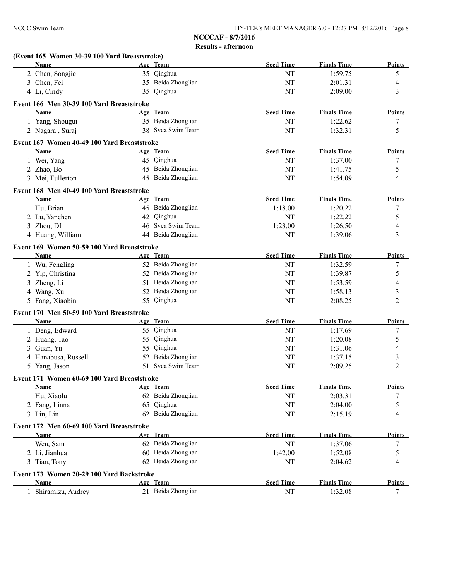|   | (Event 165 Women 30-39 100 Yard Breaststroke) |                    |                  |                    |                  |
|---|-----------------------------------------------|--------------------|------------------|--------------------|------------------|
|   | <b>Name</b>                                   | Age Team           | <b>Seed Time</b> | <b>Finals Time</b> | <b>Points</b>    |
|   | 2 Chen, Songjie                               | 35 Qinghua         | NT               | 1:59.75            | 5                |
|   | 3 Chen, Fei                                   | 35 Beida Zhonglian | NT               | 2:01.31            | 4                |
|   | 4 Li, Cindy                                   | 35 Qinghua         | NT               | 2:09.00            | 3                |
|   | Event 166 Men 30-39 100 Yard Breaststroke     |                    |                  |                    |                  |
|   | Name                                          | Age Team           | <b>Seed Time</b> | <b>Finals Time</b> | <b>Points</b>    |
|   | 1 Yang, Shougui                               | 35 Beida Zhonglian | NT               | 1:22.62            | 7                |
|   | 2 Nagaraj, Suraj                              | 38 Svca Swim Team  | NT               | 1:32.31            | 5                |
|   | Event 167 Women 40-49 100 Yard Breaststroke   |                    |                  |                    |                  |
|   | Name                                          | Age Team           | <b>Seed Time</b> | <b>Finals Time</b> | <b>Points</b>    |
|   | 1 Wei, Yang                                   | 45 Qinghua         | NT               | 1:37.00            | 7                |
|   | 2 Zhao, Bo                                    | 45 Beida Zhonglian | NT               | 1:41.75            | 5                |
|   | 3 Mei, Fullerton                              | 45 Beida Zhonglian | NT               | 1:54.09            | $\overline{4}$   |
|   | Event 168 Men 40-49 100 Yard Breaststroke     |                    |                  |                    |                  |
|   | Name                                          | Age Team           | <b>Seed Time</b> | <b>Finals Time</b> | <b>Points</b>    |
|   | 1 Hu, Brian                                   | 45 Beida Zhonglian | 1:18.00          | 1:20.22            | 7                |
|   | 2 Lu, Yanchen                                 | 42 Qinghua         | NT               | 1:22.22            | 5                |
|   | 3 Zhou, DI                                    | 46 Svca Swim Team  | 1:23.00          | 1:26.50            | 4                |
|   | 4 Huang, William                              | 44 Beida Zhonglian | NT               | 1:39.06            | 3                |
|   | Event 169 Women 50-59 100 Yard Breaststroke   |                    |                  |                    |                  |
|   | Name                                          | Age Team           | <b>Seed Time</b> | <b>Finals Time</b> | <b>Points</b>    |
|   | 1 Wu, Fengling                                | 52 Beida Zhonglian | NT               | 1:32.59            | 7                |
|   | 2 Yip, Christina                              | 52 Beida Zhonglian | NT               | 1:39.87            | 5                |
|   | 3 Zheng, Li                                   | 51 Beida Zhonglian | NT               | 1:53.59            | 4                |
| 4 | Wang, Xu                                      | 52 Beida Zhonglian | NT               | 1:58.13            | 3                |
|   | 5 Fang, Xiaobin                               | 55 Qinghua         | NT               | 2:08.25            | $\overline{2}$   |
|   | Event 170 Men 50-59 100 Yard Breaststroke     |                    |                  |                    |                  |
|   | Name                                          | Age Team           | <b>Seed Time</b> | <b>Finals Time</b> | <b>Points</b>    |
|   | 1 Deng, Edward                                | 55 Qinghua         | NT               | 1:17.69            | $\boldsymbol{7}$ |
|   | 2 Huang, Tao                                  | 55 Qinghua         | NT               | 1:20.08            | 5                |
|   | 3 Guan, Yu                                    | 55 Qinghua         | NT               | 1:31.06            | 4                |
|   | 4 Hanabusa, Russell                           | 52 Beida Zhonglian | NT               | 1:37.15            | $\mathfrak{Z}$   |
|   | 5 Yang, Jason                                 | 51 Svca Swim Team  | NT               | 2:09.25            | $\overline{2}$   |
|   | Event 171 Women 60-69 100 Yard Breaststroke   |                    |                  |                    |                  |
|   | Name                                          | Age Team           | <b>Seed Time</b> | <b>Finals Time</b> | <b>Points</b>    |
|   | 1 Hu, Xiaolu                                  | 62 Beida Zhonglian | NT               | 2:03.31            | 7                |
|   | 2 Fang, Linna                                 | 65 Qinghua         | NT               | 2:04.00            | 5                |
|   | 3 Lin, Lin                                    | 62 Beida Zhonglian | NT               | 2:15.19            | 4                |
|   | Event 172 Men 60-69 100 Yard Breaststroke     |                    |                  |                    |                  |
|   | Name                                          | Age Team           | <b>Seed Time</b> | <b>Finals Time</b> | <b>Points</b>    |
|   | 1 Wen, Sam                                    | 62 Beida Zhonglian | NT               | 1:37.06            | 7                |
|   | 2 Li, Jianhua                                 | 60 Beida Zhonglian | 1:42.00          | 1:52.08            | 5                |
|   | 3 Tian, Tony                                  | 62 Beida Zhonglian | NT               | 2:04.62            | 4                |
|   | Event 173 Women 20-29 100 Yard Backstroke     |                    |                  |                    |                  |
|   | Name                                          | Age Team           | <b>Seed Time</b> | <b>Finals Time</b> | <b>Points</b>    |
|   | 1 Shiramizu, Audrey                           | 21 Beida Zhonglian | NT               | 1:32.08            | 7                |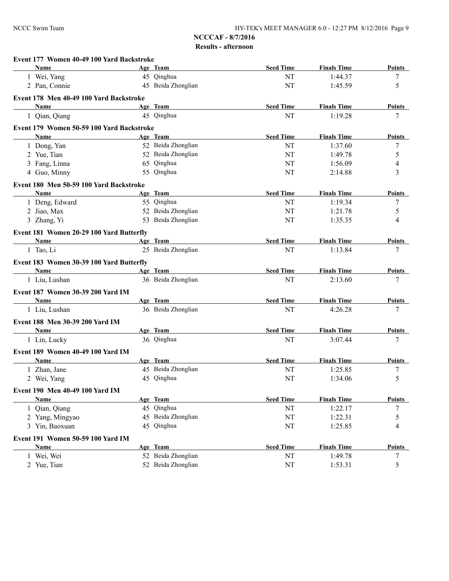| Event 177 Women 40-49 100 Yard Backstroke |                    |                  |                    |                |
|-------------------------------------------|--------------------|------------------|--------------------|----------------|
| <b>Name</b>                               | Age Team           | <b>Seed Time</b> | <b>Finals Time</b> | Points         |
| 1 Wei, Yang                               | 45 Qinghua         | NT               | 1:44.37            | 7              |
| 2 Pan, Connie                             | 45 Beida Zhonglian | NT               | 1:45.59            | 5              |
| Event 178 Men 40-49 100 Yard Backstroke   |                    |                  |                    |                |
| Name                                      | Age Team           | <b>Seed Time</b> | <b>Finals Time</b> | <b>Points</b>  |
| 1 Qian, Qiang                             | 45 Qinghua         | NT               | 1:19.28            | 7              |
| Event 179 Women 50-59 100 Yard Backstroke |                    |                  |                    |                |
| Name                                      | Age Team           | <b>Seed Time</b> | <b>Finals Time</b> | Points         |
| 1 Dong, Yan                               | 52 Beida Zhonglian | NT               | 1:37.60            | $\tau$         |
| 2 Yue, Tian                               | 52 Beida Zhonglian | NT               | 1:49.78            | 5              |
| 3 Fang, Linna                             | 65 Qinghua         | NT               | 1:56.09            | $\overline{4}$ |
| 4 Guo, Minny                              | 55 Qinghua         | NT               | 2:14.88            | 3              |
| Event 180 Men 50-59 100 Yard Backstroke   |                    |                  |                    |                |
| Name                                      | Age Team           | <b>Seed Time</b> | <b>Finals Time</b> | <b>Points</b>  |
| 1 Deng, Edward                            | 55 Qinghua         | NT               | 1:19.34            | 7              |
| 2 Jiao, Max                               | 52 Beida Zhonglian | NT               | 1:21.78            | 5              |
| 3 Zhang, Yi                               | 53 Beida Zhonglian | NT               | 1:35.35            | 4              |
| Event 181 Women 20-29 100 Yard Butterfly  |                    |                  |                    |                |
| Name                                      | Age Team           | <b>Seed Time</b> | <b>Finals Time</b> | <b>Points</b>  |
| 1 Tao, Li                                 | 25 Beida Zhonglian | NT               | 1:13.84            | 7              |
| Event 183 Women 30-39 100 Yard Butterfly  |                    |                  |                    |                |
| Name                                      | Age Team           | <b>Seed Time</b> | <b>Finals Time</b> | <b>Points</b>  |
| 1 Liu, Lushan                             | 36 Beida Zhonglian | NT               | 2:13.60            | 7              |
| <b>Event 187 Women 30-39 200 Yard IM</b>  |                    |                  |                    |                |
| Name                                      | Age Team           | <b>Seed Time</b> | <b>Finals Time</b> | <b>Points</b>  |
| 1 Liu, Lushan                             | 36 Beida Zhonglian | NT               | 4:26.28            | 7              |
|                                           |                    |                  |                    |                |
| Event 188 Men 30-39 200 Yard IM<br>Name   | Age Team           | <b>Seed Time</b> | <b>Finals Time</b> | Points         |
| 1 Lin, Lucky                              | 36 Qinghua         | NT               | 3:07.44            | 7              |
|                                           |                    |                  |                    |                |
| Event 189 Women 40-49 100 Yard IM         | Age Team           | <b>Seed Time</b> | <b>Finals Time</b> |                |
| Name<br>1 Zhan, Jane                      | 45 Beida Zhonglian |                  | 1:25.85            | <b>Points</b>  |
| 2 Wei, Yang                               | 45 Qinghua         | NT<br>NT         | 1:34.06            | 7<br>5         |
|                                           |                    |                  |                    |                |
| Event 190 Men 40-49 100 Yard IM           |                    |                  |                    |                |
| <b>Name</b>                               | Age Team           | <b>Seed Time</b> | <b>Finals Time</b> | <b>Points</b>  |
| 1 Qian, Qiang                             | 45 Qinghua         | $\rm{NT}$        | 1:22.17            | $\tau$         |
| 2 Yang, Mingyao                           | 45 Beida Zhonglian | $\rm{NT}$        | 1:22.31            | 5              |
| 3 Yin, Baoxuan                            | 45 Qinghua         | NT               | 1:25.85            | 4              |
| Event 191 Women 50-59 100 Yard IM         |                    |                  |                    |                |
| <b>Name</b>                               | Age Team           | <b>Seed Time</b> | <b>Finals Time</b> | <b>Points</b>  |
| 1 Wei, Wei                                | 52 Beida Zhonglian | $\rm{NT}$        | 1:49.78            | $\tau$         |
| 2 Yue, Tian                               | 52 Beida Zhonglian | $\rm{NT}$        | 1:53.31            | 5              |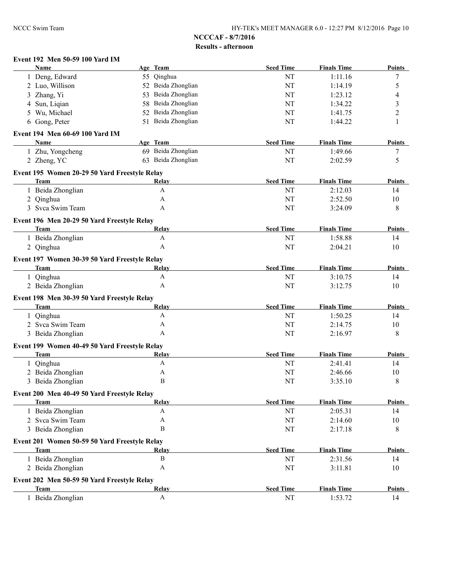#### **Event 192 Men 50-59 100 Yard IM**

| <b>Name</b>                                                | Age Team                  | <b>Seed Time</b> | <b>Finals Time</b> | <b>Points</b> |
|------------------------------------------------------------|---------------------------|------------------|--------------------|---------------|
| 1 Deng, Edward                                             | 55 Qinghua                | NT               | 1:11.16            | 7             |
| 2 Luo, Willison                                            | 52 Beida Zhonglian        | NT               | 1:14.19            | 5             |
| 3 Zhang, Yi                                                | Beida Zhonglian<br>53     | NT               | 1:23.12            | 4             |
| Sun, Liqian<br>4                                           | Beida Zhonglian<br>58     | NT               | 1:34.22            | 3             |
| Wu, Michael<br>5                                           | 52 Beida Zhonglian        | NT               | 1:41.75            | 2             |
| 6 Gong, Peter                                              | 51 Beida Zhonglian        | NT               | 1:44.22            | 1             |
| Event 194 Men 60-69 100 Yard IM                            |                           |                  |                    |               |
| Name                                                       | Age Team                  | <b>Seed Time</b> | <b>Finals Time</b> | <b>Points</b> |
| 1 Zhu, Yongcheng                                           | 69 Beida Zhonglian        | NT               | 1:49.66            | 7             |
| 2 Zheng, YC                                                | 63 Beida Zhonglian        | NT               | 2:02.59            | 5             |
|                                                            |                           |                  |                    |               |
| Event 195 Women 20-29 50 Yard Freestyle Relay              |                           |                  |                    |               |
| <b>Team</b>                                                | Relay                     | <b>Seed Time</b> | <b>Finals Time</b> | <b>Points</b> |
| 1 Beida Zhonglian                                          | A                         | NT               | 2:12.03            | 14            |
| 2 Qinghua                                                  | A                         | NT               | 2:52.50            | 10            |
| 3 Svca Swim Team                                           | A                         | NT               | 3:24.09            | 8             |
| Event 196 Men 20-29 50 Yard Freestyle Relay                |                           |                  |                    |               |
| <b>Team</b>                                                | Relay                     | <b>Seed Time</b> | <b>Finals Time</b> | <b>Points</b> |
| 1 Beida Zhonglian                                          | A                         | NT               | 1:58.88            | 14            |
| 2 Qinghua                                                  | A                         | NT               | 2:04.21            | 10            |
| Event 197 Women 30-39 50 Yard Freestyle Relay              |                           |                  |                    |               |
| <b>Team</b>                                                | Relay                     | <b>Seed Time</b> | <b>Finals Time</b> | <b>Points</b> |
|                                                            | A                         | NT               | 3:10.75            | 14            |
| 1 Qinghua                                                  | A                         | NT               |                    |               |
| 2 Beida Zhonglian                                          |                           |                  | 3:12.75            | 10            |
| Event 198 Men 30-39 50 Yard Freestyle Relay                |                           |                  |                    |               |
| <b>Team</b>                                                | Relay                     | <b>Seed Time</b> | <b>Finals Time</b> | <b>Points</b> |
| Qinghua<br>1                                               | A                         | NT               | 1:50.25            | 14            |
| 2 Svca Swim Team                                           | A                         | NT               | 2:14.75            | 10            |
| 3 Beida Zhonglian                                          | A                         | NT               | 2:16.97            | 8             |
| Event 199 Women 40-49 50 Yard Freestyle Relay              |                           |                  |                    |               |
| <b>Team</b>                                                | Relay                     | <b>Seed Time</b> | <b>Finals Time</b> | <b>Points</b> |
| 1 Qinghua                                                  | $\boldsymbol{\mathsf{A}}$ | NT               | 2:41.41            | 14            |
| 2 Beida Zhonglian                                          | A                         | NT               | 2:46.66            | 10            |
| 3 Beida Zhonglian                                          | B                         | NT               | 3:35.10            | 8             |
|                                                            |                           |                  |                    |               |
| Event 200 Men 40-49 50 Yard Freestyle Relay<br><b>Team</b> | Relay                     | <b>Seed Time</b> | <b>Finals Time</b> | <b>Points</b> |
|                                                            | A                         |                  | 2:05.31            |               |
| 1 Beida Zhonglian                                          | A                         | NT               |                    | 14            |
| 2 Svca Swim Team                                           | $\, {\bf B}$              | NT               | 2:14.60            | 10            |
| 3 Beida Zhonglian                                          |                           | NT               | 2:17.18            | 8             |
| Event 201 Women 50-59 50 Yard Freestyle Relay              |                           |                  |                    |               |
| <b>Team</b>                                                | Relay                     | <b>Seed Time</b> | <b>Finals Time</b> | <b>Points</b> |
| 1 Beida Zhonglian                                          | B                         | $\rm{NT}$        | 2:31.56            | 14            |
| 2 Beida Zhonglian                                          | A                         | NT               | 3:11.81            | 10            |
| Event 202 Men 50-59 50 Yard Freestyle Relay                |                           |                  |                    |               |
| <b>Team</b>                                                | Relay                     | <b>Seed Time</b> | <b>Finals Time</b> | <b>Points</b> |
| 1 Beida Zhonglian                                          | A                         | NT               | 1:53.72            | 14            |
|                                                            |                           |                  |                    |               |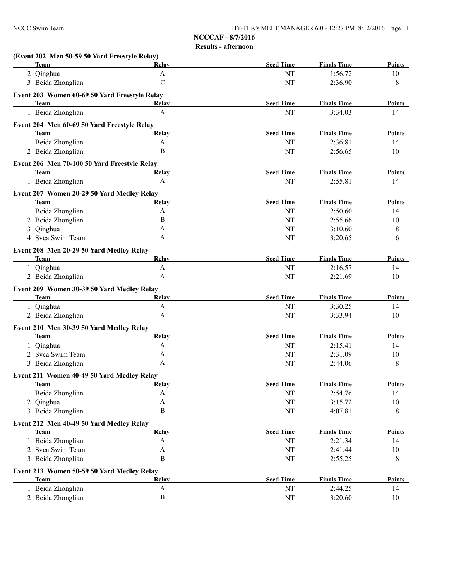| (Event 202 Men 50-59 50 Yard Freestyle Relay)<br><b>Team</b> | Relay                     | <b>Seed Time</b> | <b>Finals Time</b> | <b>Points</b> |
|--------------------------------------------------------------|---------------------------|------------------|--------------------|---------------|
| 2 Qinghua                                                    | $\mathbf{A}$              | NT               | 1:56.72            | 10            |
| 3 Beida Zhonglian                                            | $\mathbf C$               | <b>NT</b>        | 2:36.90            | 8             |
| Event 203 Women 60-69 50 Yard Freestyle Relay                |                           |                  |                    |               |
| <b>Team</b>                                                  | Relay                     | <b>Seed Time</b> | <b>Finals Time</b> | <b>Points</b> |
| 1 Beida Zhonglian                                            | A                         | NT               | 3:34.03            | 14            |
|                                                              |                           |                  |                    |               |
| Event 204 Men 60-69 50 Yard Freestyle Relay                  |                           |                  |                    | <b>Points</b> |
| <b>Team</b>                                                  | Relay<br>$\mathbf{A}$     | <b>Seed Time</b> | <b>Finals Time</b> |               |
| 1 Beida Zhonglian                                            | $\bf{B}$                  | NT               | 2:36.81            | 14            |
| 2 Beida Zhonglian                                            |                           | <b>NT</b>        | 2:56.65            | 10            |
| Event 206 Men 70-100 50 Yard Freestyle Relay                 |                           |                  |                    |               |
| <b>Team</b>                                                  | Relay                     | <b>Seed Time</b> | <b>Finals Time</b> | Points        |
| 1 Beida Zhonglian                                            | A                         | <b>NT</b>        | 2:55.81            | 14            |
| Event 207 Women 20-29 50 Yard Medley Relay                   |                           |                  |                    |               |
| <b>Team</b>                                                  | Relay                     | <b>Seed Time</b> | <b>Finals Time</b> | <b>Points</b> |
| 1 Beida Zhonglian                                            | $\mathbf{A}$              | NT               | 2:50.60            | 14            |
| 2 Beida Zhonglian                                            | $\bf{B}$                  | NT               | 2:55.66            | 10            |
| 3 Qinghua                                                    | A                         | NT               | 3:10.60            | 8             |
| 4 Svca Swim Team                                             | A                         | <b>NT</b>        | 3:20.65            | 6             |
| Event 208 Men 20-29 50 Yard Medley Relay                     |                           |                  |                    |               |
| <b>Team</b>                                                  | Relay                     | <b>Seed Time</b> | <b>Finals Time</b> | <b>Points</b> |
| 1 Qinghua                                                    | $\mathbf{A}$              | NT               | 2:16.57            | 14            |
| 2 Beida Zhonglian                                            | A                         | <b>NT</b>        | 2:21.69            | 10            |
|                                                              |                           |                  |                    |               |
| Event 209 Women 30-39 50 Yard Medley Relay<br><b>Team</b>    | Relay                     | <b>Seed Time</b> | <b>Finals Time</b> | <b>Points</b> |
| 1 Qinghua                                                    | $\mathbf{A}$              | NT               | 3:30.25            | 14            |
| 2 Beida Zhonglian                                            | A                         | <b>NT</b>        | 3:33.94            | 10            |
|                                                              |                           |                  |                    |               |
| Event 210 Men 30-39 50 Yard Medley Relay                     |                           |                  |                    |               |
| <b>Team</b>                                                  | Relay                     | <b>Seed Time</b> | <b>Finals Time</b> | <b>Points</b> |
| 1 Qinghua                                                    | A                         | NT               | 2:15.41            | 14            |
| 2 Svca Swim Team                                             | A                         | NT               | 2:31.09            | 10            |
| 3 Beida Zhonglian                                            | A                         | <b>NT</b>        | 2:44.06            | 8             |
| Event 211 Women 40-49 50 Yard Medley Relay                   |                           |                  |                    |               |
| l'eam                                                        | <u> Relay</u>             | <b>Seed Time</b> | <b>Finals Time</b> | <b>Points</b> |
| 1 Beida Zhonglian                                            | A                         | NT               | 2:54.76            | 14            |
| Qinghua<br>2                                                 | $\boldsymbol{A}$          | NT               | 3:15.72            | $10\,$        |
| 3 Beida Zhonglian                                            | $\, {\bf B}$              | NT               | 4:07.81            | 8             |
| Event 212 Men 40-49 50 Yard Medley Relay                     |                           |                  |                    |               |
| <b>Team</b>                                                  | Relay                     | <b>Seed Time</b> | <b>Finals Time</b> | <b>Points</b> |
| 1 Beida Zhonglian                                            | $\mathbf{A}$              | NT               | 2:21.34            | 14            |
| 2 Svca Swim Team                                             | A                         | NT               | 2:41.44            | $10\,$        |
| 3 Beida Zhonglian                                            | B                         | NT               | 2:55.25            | 8             |
|                                                              |                           |                  |                    |               |
| Event 213 Women 50-59 50 Yard Medley Relay<br><b>Team</b>    | <b>Relay</b>              | <b>Seed Time</b> | <b>Finals Time</b> | <b>Points</b> |
|                                                              | $\boldsymbol{\mathsf{A}}$ | NT               | 2:44.25            |               |
| 1 Beida Zhonglian                                            | $\, {\bf B}$              |                  |                    | 14            |
| 2 Beida Zhonglian                                            |                           | $\rm{NT}$        | 3:20.60            | 10            |